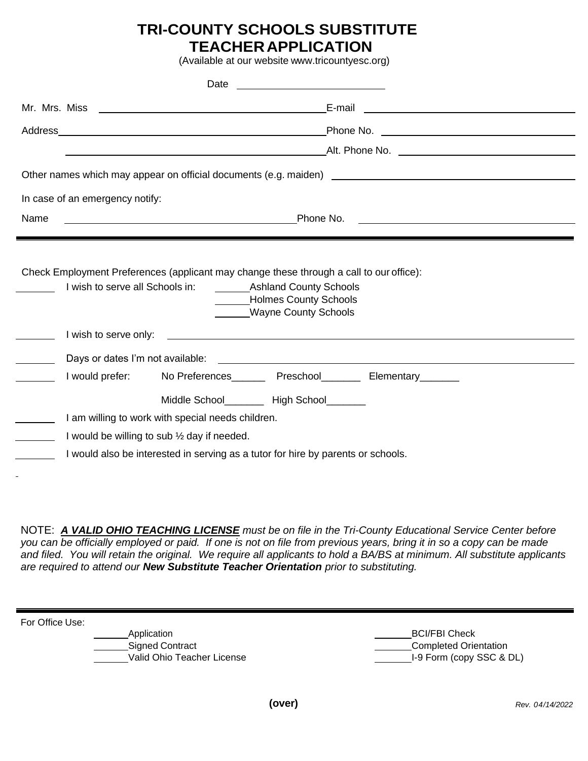# **TRI-COUNTY SCHOOLS SUBSTITUTE TEACHERAPPLICATION**

(Available at our website www.tricountyesc.org)

| Date                                                                                                                                                                                                                                                                                                 |                                                                                  |  |                                           |                                                       |
|------------------------------------------------------------------------------------------------------------------------------------------------------------------------------------------------------------------------------------------------------------------------------------------------------|----------------------------------------------------------------------------------|--|-------------------------------------------|-------------------------------------------------------|
|                                                                                                                                                                                                                                                                                                      |                                                                                  |  |                                           |                                                       |
|                                                                                                                                                                                                                                                                                                      |                                                                                  |  |                                           |                                                       |
|                                                                                                                                                                                                                                                                                                      |                                                                                  |  |                                           |                                                       |
|                                                                                                                                                                                                                                                                                                      |                                                                                  |  |                                           |                                                       |
|                                                                                                                                                                                                                                                                                                      | In case of an emergency notify:                                                  |  |                                           |                                                       |
| Phone No.<br>Name<br><u> 1989 - Johann Stein, mars an de Brasilia (b. 1989)</u>                                                                                                                                                                                                                      |                                                                                  |  |                                           | <u> 1989 - Johann Stein, fransk politik (d. 1989)</u> |
|                                                                                                                                                                                                                                                                                                      |                                                                                  |  |                                           |                                                       |
| Check Employment Preferences (applicant may change these through a call to our office):<br>I wish to serve all Schools in:<br><b>Ashland County Schools</b><br>Holmes County Schools<br>Wayne County Schools<br>I wish to serve only:<br><u> 1989 - Andrea Stadt Britain, amerikansk politiker (</u> |                                                                                  |  |                                           |                                                       |
|                                                                                                                                                                                                                                                                                                      |                                                                                  |  |                                           |                                                       |
|                                                                                                                                                                                                                                                                                                      | I would prefer:                                                                  |  |                                           | No Preferences Preschool Elementary                   |
|                                                                                                                                                                                                                                                                                                      |                                                                                  |  | Middle School_________ High School_______ |                                                       |
|                                                                                                                                                                                                                                                                                                      | I am willing to work with special needs children.                                |  |                                           |                                                       |
|                                                                                                                                                                                                                                                                                                      | I would be willing to sub $\frac{1}{2}$ day if needed.                           |  |                                           |                                                       |
|                                                                                                                                                                                                                                                                                                      | I would also be interested in serving as a tutor for hire by parents or schools. |  |                                           |                                                       |
|                                                                                                                                                                                                                                                                                                      |                                                                                  |  |                                           |                                                       |
|                                                                                                                                                                                                                                                                                                      |                                                                                  |  |                                           |                                                       |

NOTE: *A VALID OHIO TEACHING LICENSE must be on file in the Tri-County Educational Service Center before you can be officially employed or paid. If one is not on file from previous years, bring it in so a copy can be made and filed. You will retain the original. We require all applicants to hold a BA/BS at minimum. All substitute applicants are required to attend our New Substitute Teacher Orientation prior to substituting.*

For Office Use:

Application **BCI/FBI Check** Signed Contract Completed Orientation Valid Ohio Teacher License I-9 Form (copy SSC & DL)